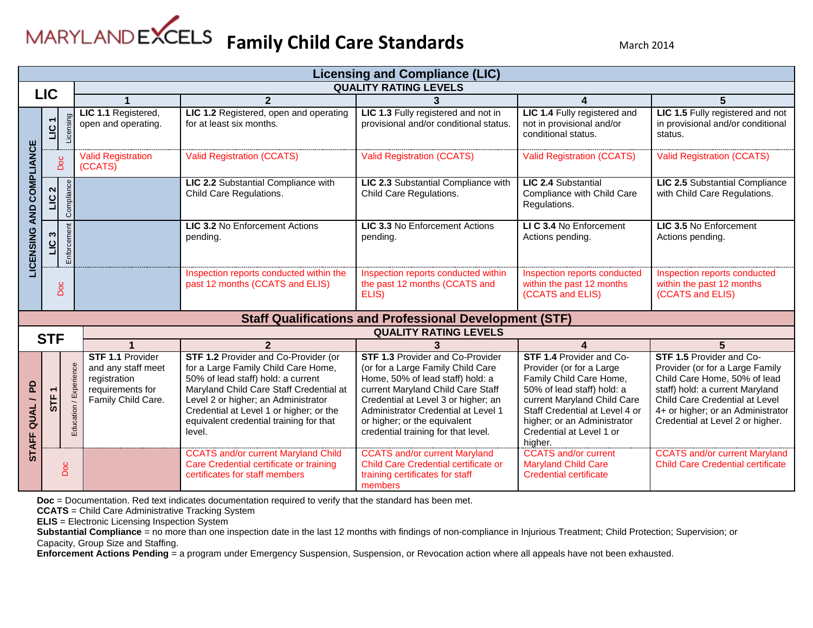|                                | <b>Licensing and Compliance (LIC)</b>      |                        |                                                                                                         |                                                                                                                                                                                                                                                                                                     |                                                                                                                                                                                                                                                                                                            |                                                                                                                                                                                                                                                              |                                                                                                                                                                                                                                                  |  |  |  |  |
|--------------------------------|--------------------------------------------|------------------------|---------------------------------------------------------------------------------------------------------|-----------------------------------------------------------------------------------------------------------------------------------------------------------------------------------------------------------------------------------------------------------------------------------------------------|------------------------------------------------------------------------------------------------------------------------------------------------------------------------------------------------------------------------------------------------------------------------------------------------------------|--------------------------------------------------------------------------------------------------------------------------------------------------------------------------------------------------------------------------------------------------------------|--------------------------------------------------------------------------------------------------------------------------------------------------------------------------------------------------------------------------------------------------|--|--|--|--|
|                                | <b>QUALITY RATING LEVELS</b><br><b>LIC</b> |                        |                                                                                                         |                                                                                                                                                                                                                                                                                                     |                                                                                                                                                                                                                                                                                                            |                                                                                                                                                                                                                                                              |                                                                                                                                                                                                                                                  |  |  |  |  |
|                                |                                            |                        | $\overline{2}$                                                                                          |                                                                                                                                                                                                                                                                                                     |                                                                                                                                                                                                                                                                                                            | 4                                                                                                                                                                                                                                                            |                                                                                                                                                                                                                                                  |  |  |  |  |
|                                | $\overline{\phantom{0}}$<br>$\overline{5}$ | Licensing              | LIC 1.1 Registered,<br>open and operating.                                                              | LIC 1.2 Registered, open and operating<br>for at least six months.                                                                                                                                                                                                                                  | LIC 1.3 Fully registered and not in<br>provisional and/or conditional status.                                                                                                                                                                                                                              | LIC 1.4 Fully registered and<br>not in provisional and/or<br>conditional status.                                                                                                                                                                             | LIC 1.5 Fully registered and not<br>in provisional and/or conditional<br>status.                                                                                                                                                                 |  |  |  |  |
| COMPLIANCE                     | Doc                                        |                        | <b>Valid Registration</b><br>(CCATS)                                                                    | <b>Valid Registration (CCATS)</b>                                                                                                                                                                                                                                                                   | <b>Valid Registration (CCATS)</b>                                                                                                                                                                                                                                                                          | <b>Valid Registration (CCATS)</b>                                                                                                                                                                                                                            | <b>Valid Registration (CCATS)</b>                                                                                                                                                                                                                |  |  |  |  |
| <b>AND</b>                     | $\sim$<br><u>ְׂט</u> ו                     | Com                    |                                                                                                         | LIC 2.2 Substantial Compliance with<br>Child Care Regulations.                                                                                                                                                                                                                                      | LIC 2.3 Substantial Compliance with<br>Child Care Regulations.                                                                                                                                                                                                                                             | LIC 2.4 Substantial<br>Compliance with Child Care<br>Regulations.                                                                                                                                                                                            | LIC 2.5 Substantial Compliance<br>with Child Care Regulations.                                                                                                                                                                                   |  |  |  |  |
| <b>LICENSING</b>               | ო $\overline{ }$<br>$\overline{a}$         | Enforce                |                                                                                                         | <b>LIC 3.2 No Enforcement Actions</b><br>pending.                                                                                                                                                                                                                                                   | LIC 3.3 No Enforcement Actions<br>pending.                                                                                                                                                                                                                                                                 | LI C 3.4 No Enforcement<br>Actions pending.                                                                                                                                                                                                                  | LIC 3.5 No Enforcement<br>Actions pending.                                                                                                                                                                                                       |  |  |  |  |
|                                | <b>Doc</b>                                 |                        |                                                                                                         | Inspection reports conducted within the<br>past 12 months (CCATS and ELIS)                                                                                                                                                                                                                          | Inspection reports conducted within<br>the past 12 months (CCATS and<br>ELIS)                                                                                                                                                                                                                              | Inspection reports conducted<br>within the past 12 months<br>(CCATS and ELIS)                                                                                                                                                                                | Inspection reports conducted<br>within the past 12 months<br>(CCATS and ELIS)                                                                                                                                                                    |  |  |  |  |
|                                |                                            |                        | <b>Staff Qualifications and Professional Development (STF)</b>                                          |                                                                                                                                                                                                                                                                                                     |                                                                                                                                                                                                                                                                                                            |                                                                                                                                                                                                                                                              |                                                                                                                                                                                                                                                  |  |  |  |  |
|                                | <b>STF</b>                                 |                        |                                                                                                         |                                                                                                                                                                                                                                                                                                     | <b>QUALITY RATING LEVELS</b>                                                                                                                                                                                                                                                                               |                                                                                                                                                                                                                                                              |                                                                                                                                                                                                                                                  |  |  |  |  |
|                                |                                            |                        |                                                                                                         | $\overline{2}$                                                                                                                                                                                                                                                                                      |                                                                                                                                                                                                                                                                                                            |                                                                                                                                                                                                                                                              |                                                                                                                                                                                                                                                  |  |  |  |  |
| <b>PD</b><br><b>STAFF QUAL</b> | <b>STF</b>                                 | Experienc<br>Education | <b>STF 1.1 Provider</b><br>and any staff meet<br>registration<br>requirements for<br>Family Child Care. | STF 1.2 Provider and Co-Provider (or<br>for a Large Family Child Care Home,<br>50% of lead staff) hold: a current<br>Maryland Child Care Staff Credential at<br>Level 2 or higher; an Administrator<br>Credential at Level 1 or higher; or the<br>equivalent credential training for that<br>level. | <b>STF 1.3 Provider and Co-Provider</b><br>(or for a Large Family Child Care<br>Home, 50% of lead staff) hold: a<br>current Maryland Child Care Staff<br>Credential at Level 3 or higher; an<br>Administrator Credential at Level 1<br>or higher; or the equivalent<br>credential training for that level. | <b>STF 1.4 Provider and Co-</b><br>Provider (or for a Large)<br>Family Child Care Home,<br>50% of lead staff) hold: a<br>current Maryland Child Care<br>Staff Credential at Level 4 or<br>higher; or an Administrator<br>Credential at Level 1 or<br>higher. | <b>STF 1.5 Provider and Co-</b><br>Provider (or for a Large Family<br>Child Care Home, 50% of lead<br>staff) hold: a current Maryland<br>Child Care Credential at Level<br>4+ or higher; or an Administrator<br>Credential at Level 2 or higher. |  |  |  |  |
|                                |                                            | Doc                    |                                                                                                         | <b>CCATS and/or current Maryland Child</b><br>Care Credential certificate or training<br>certificates for staff members                                                                                                                                                                             | <b>CCATS and/or current Maryland</b><br>Child Care Credential certificate or<br>training certificates for staff<br>members                                                                                                                                                                                 | <b>CCATS and/or current</b><br><b>Maryland Child Care</b><br><b>Credential certificate</b>                                                                                                                                                                   | <b>CCATS and/or current Maryland</b><br><b>Child Care Credential certificate</b>                                                                                                                                                                 |  |  |  |  |

**Doc** = Documentation. Red text indicates documentation required to verify that the standard has been met.

**CCATS** = Child Care Administrative Tracking System

**ELIS** = Electronic Licensing Inspection System

Substantial Compliance = no more than one inspection date in the last 12 months with findings of non-compliance in Injurious Treatment; Child Protection; Supervision; or Capacity, Group Size and Staffing.

**Enforcement Actions Pending** = a program under Emergency Suspension, Suspension, or Revocation action where all appeals have not been exhausted.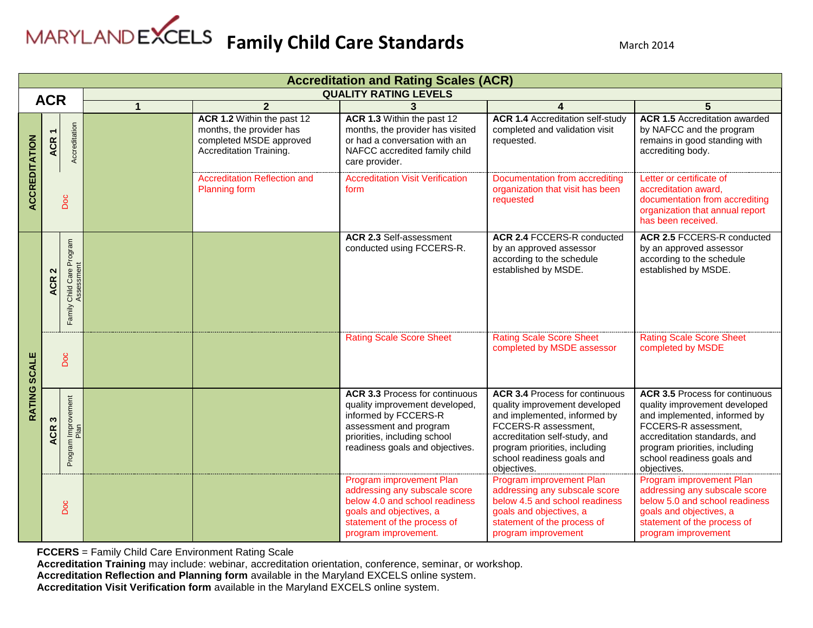|                      | <b>Accreditation and Rating Scales (ACR)</b> |                                            |                      |                                                                                                              |                                                                                                                                                                                              |                                                                                                                                                                                                                                               |                                                                                                                                                                                                                                              |  |  |  |
|----------------------|----------------------------------------------|--------------------------------------------|----------------------|--------------------------------------------------------------------------------------------------------------|----------------------------------------------------------------------------------------------------------------------------------------------------------------------------------------------|-----------------------------------------------------------------------------------------------------------------------------------------------------------------------------------------------------------------------------------------------|----------------------------------------------------------------------------------------------------------------------------------------------------------------------------------------------------------------------------------------------|--|--|--|
|                      | <b>QUALITY RATING LEVELS</b><br><b>ACR</b>   |                                            |                      |                                                                                                              |                                                                                                                                                                                              |                                                                                                                                                                                                                                               |                                                                                                                                                                                                                                              |  |  |  |
|                      |                                              |                                            | $\blacktriangleleft$ | $\mathbf{2}$                                                                                                 |                                                                                                                                                                                              |                                                                                                                                                                                                                                               | 5                                                                                                                                                                                                                                            |  |  |  |
| <b>ACCREDITATION</b> | $\overline{\phantom{0}}$<br><b>ACR</b>       | Accreditation                              |                      | ACR 1.2 Within the past 12<br>months, the provider has<br>completed MSDE approved<br>Accreditation Training. | ACR 1.3 Within the past 12<br>months, the provider has visited<br>or had a conversation with an<br>NAFCC accredited family child<br>care provider.                                           | <b>ACR 1.4 Accreditation self-study</b><br>completed and validation visit<br>requested.                                                                                                                                                       | <b>ACR 1.5 Accreditation awarded</b><br>by NAFCC and the program<br>remains in good standing with<br>accrediting body.                                                                                                                       |  |  |  |
|                      |                                              | Doc                                        |                      | <b>Accreditation Reflection and</b><br><b>Planning form</b>                                                  | <b>Accreditation Visit Verification</b><br>form                                                                                                                                              | Documentation from accrediting<br>organization that visit has been<br>requested                                                                                                                                                               | Letter or certificate of<br>accreditation award,<br>documentation from accrediting<br>organization that annual report<br>has been received.                                                                                                  |  |  |  |
|                      | <b>ACR</b>                                   | Child Care Program<br>Assessment<br>Family |                      |                                                                                                              | <b>ACR 2.3 Self-assessment</b><br>conducted using FCCERS-R.                                                                                                                                  | <b>ACR 2.4 FCCERS-R conducted</b><br>by an approved assessor<br>according to the schedule<br>established by MSDE.                                                                                                                             | <b>ACR 2.5 FCCERS-R conducted</b><br>by an approved assessor<br>according to the schedule<br>established by MSDE.                                                                                                                            |  |  |  |
| <b>SCALE</b>         |                                              | Doc                                        |                      |                                                                                                              | <b>Rating Scale Score Sheet</b>                                                                                                                                                              | <b>Rating Scale Score Sheet</b><br>completed by MSDE assessor                                                                                                                                                                                 | <b>Rating Scale Score Sheet</b><br>completed by MSDE                                                                                                                                                                                         |  |  |  |
| RATING               | $\boldsymbol{\omega}$<br><b>ACR</b>          | Program Improvement                        |                      |                                                                                                              | <b>ACR 3.3 Process for continuous</b><br>quality improvement developed,<br>informed by FCCERS-R<br>assessment and program<br>priorities, including school<br>readiness goals and objectives. | <b>ACR 3.4 Process for continuous</b><br>quality improvement developed<br>and implemented, informed by<br>FCCERS-R assessment,<br>accreditation self-study, and<br>program priorities, including<br>school readiness goals and<br>objectives. | <b>ACR 3.5 Process for continuous</b><br>quality improvement developed<br>and implemented, informed by<br>FCCERS-R assessment,<br>accreditation standards, and<br>program priorities, including<br>school readiness goals and<br>objectives. |  |  |  |
|                      |                                              | Doc                                        |                      |                                                                                                              | Program improvement Plan<br>addressing any subscale score<br>below 4.0 and school readiness<br>goals and objectives, a<br>statement of the process of<br>program improvement.                | Program improvement Plan<br>addressing any subscale score<br>below 4.5 and school readiness<br>goals and objectives, a<br>statement of the process of<br>program improvement                                                                  | Program improvement Plan<br>addressing any subscale score<br>below 5.0 and school readiness<br>goals and objectives, a<br>statement of the process of<br>program improvement                                                                 |  |  |  |

**FCCERS** = Family Child Care Environment Rating Scale

**Accreditation Training** may include: webinar, accreditation orientation, conference, seminar, or workshop.

**Accreditation Reflection and Planning form** available in the Maryland EXCELS online system.

**Accreditation Visit Verification form** available in the Maryland EXCELS online system.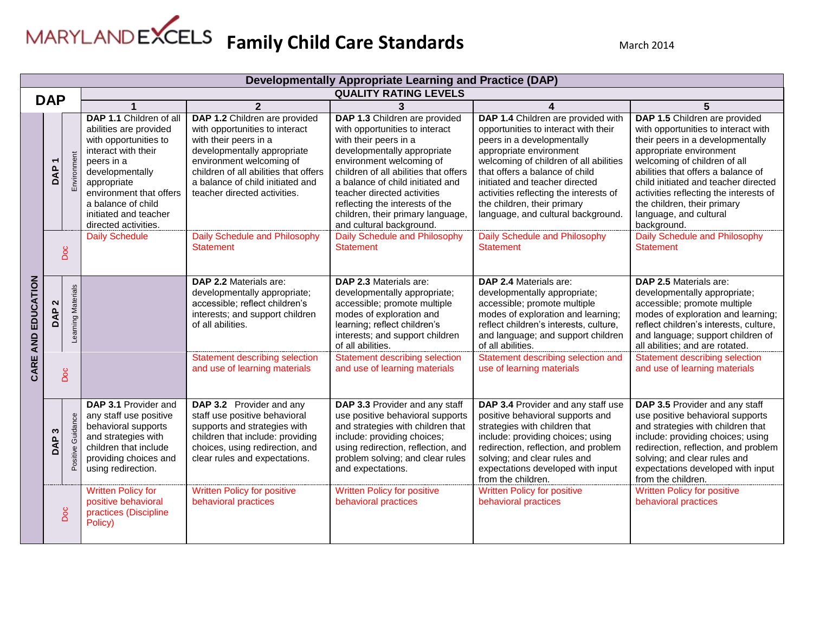|                    |                            | <b>Developmentally Appropriate Learning and Practice (DAP)</b> |                                                                                                                                                                                                                                                     |                                                                                                                                                                                                                                                                  |                                                                                                                                                                                                                                                                                                                                                                     |                                                                                                                                                                                                                                                                                                                                                                  |                                                                                                                                                                                                                                                                                                                                                                     |  |  |
|--------------------|----------------------------|----------------------------------------------------------------|-----------------------------------------------------------------------------------------------------------------------------------------------------------------------------------------------------------------------------------------------------|------------------------------------------------------------------------------------------------------------------------------------------------------------------------------------------------------------------------------------------------------------------|---------------------------------------------------------------------------------------------------------------------------------------------------------------------------------------------------------------------------------------------------------------------------------------------------------------------------------------------------------------------|------------------------------------------------------------------------------------------------------------------------------------------------------------------------------------------------------------------------------------------------------------------------------------------------------------------------------------------------------------------|---------------------------------------------------------------------------------------------------------------------------------------------------------------------------------------------------------------------------------------------------------------------------------------------------------------------------------------------------------------------|--|--|
| <b>DAP</b>         |                            |                                                                |                                                                                                                                                                                                                                                     |                                                                                                                                                                                                                                                                  | <b>QUALITY RATING LEVELS</b>                                                                                                                                                                                                                                                                                                                                        |                                                                                                                                                                                                                                                                                                                                                                  |                                                                                                                                                                                                                                                                                                                                                                     |  |  |
|                    |                            |                                                                | 1                                                                                                                                                                                                                                                   | $\overline{2}$                                                                                                                                                                                                                                                   | 3                                                                                                                                                                                                                                                                                                                                                                   | 4                                                                                                                                                                                                                                                                                                                                                                | 5                                                                                                                                                                                                                                                                                                                                                                   |  |  |
|                    | <b>DAP</b>                 | Environment                                                    | DAP 1.1 Children of all<br>abilities are provided<br>with opportunities to<br>interact with their<br>peers in a<br>developmentally<br>appropriate<br>environment that offers<br>a balance of child<br>initiated and teacher<br>directed activities. | DAP 1.2 Children are provided<br>with opportunities to interact<br>with their peers in a<br>developmentally appropriate<br>environment welcoming of<br>children of all abilities that offers<br>a balance of child initiated and<br>teacher directed activities. | DAP 1.3 Children are provided<br>with opportunities to interact<br>with their peers in a<br>developmentally appropriate<br>environment welcoming of<br>children of all abilities that offers<br>a balance of child initiated and<br>teacher directed activities<br>reflecting the interests of the<br>children, their primary language,<br>and cultural background. | DAP 1.4 Children are provided with<br>opportunities to interact with their<br>peers in a developmentally<br>appropriate environment<br>welcoming of children of all abilities<br>that offers a balance of child<br>initiated and teacher directed<br>activities reflecting the interests of<br>the children, their primary<br>language, and cultural background. | DAP 1.5 Children are provided<br>with opportunities to interact with<br>their peers in a developmentally<br>appropriate environment<br>welcoming of children of all<br>abilities that offers a balance of<br>child initiated and teacher directed<br>activities reflecting the interests of<br>the children, their primary<br>language, and cultural<br>background. |  |  |
|                    | Doc                        |                                                                | <b>Daily Schedule</b>                                                                                                                                                                                                                               | Daily Schedule and Philosophy<br><b>Statement</b>                                                                                                                                                                                                                | Daily Schedule and Philosophy<br><b>Statement</b>                                                                                                                                                                                                                                                                                                                   | <b>Daily Schedule and Philosophy</b><br><b>Statement</b>                                                                                                                                                                                                                                                                                                         | Daily Schedule and Philosophy<br><b>Statement</b>                                                                                                                                                                                                                                                                                                                   |  |  |
| CARE AND EDUCATION | $\boldsymbol{\sim}$<br>DAP | Learning Materials                                             |                                                                                                                                                                                                                                                     | DAP 2.2 Materials are:<br>developmentally appropriate;<br>accessible; reflect children's<br>interests; and support children<br>of all abilities.                                                                                                                 | DAP 2.3 Materials are:<br>developmentally appropriate;<br>accessible; promote multiple<br>modes of exploration and<br>learning; reflect children's<br>interests; and support children<br>of all abilities.                                                                                                                                                          | DAP 2.4 Materials are:<br>developmentally appropriate;<br>accessible; promote multiple<br>modes of exploration and learning;<br>reflect children's interests, culture,<br>and language; and support children<br>of all abilities.                                                                                                                                | DAP 2.5 Materials are:<br>developmentally appropriate;<br>accessible; promote multiple<br>modes of exploration and learning;<br>reflect children's interests, culture,<br>and language; support children of<br>all abilities; and are rotated.                                                                                                                      |  |  |
|                    | Doc                        |                                                                |                                                                                                                                                                                                                                                     | <b>Statement describing selection</b><br>and use of learning materials                                                                                                                                                                                           | <b>Statement describing selection</b><br>and use of learning materials                                                                                                                                                                                                                                                                                              | Statement describing selection and<br>use of learning materials                                                                                                                                                                                                                                                                                                  | Statement describing selection<br>and use of learning materials                                                                                                                                                                                                                                                                                                     |  |  |
|                    | S<br>DAP                   | Guidance<br>Positive                                           | DAP 3.1 Provider and<br>any staff use positive<br>behavioral supports<br>and strategies with<br>children that include<br>providing choices and<br>using redirection.                                                                                | DAP 3.2 Provider and any<br>staff use positive behavioral<br>supports and strategies with<br>children that include: providing<br>choices, using redirection, and<br>clear rules and expectations.                                                                | DAP 3.3 Provider and any staff<br>use positive behavioral supports<br>and strategies with children that<br>include: providing choices;<br>using redirection, reflection, and<br>problem solving; and clear rules<br>and expectations.                                                                                                                               | DAP 3.4 Provider and any staff use<br>positive behavioral supports and<br>strategies with children that<br>include: providing choices; using<br>redirection, reflection, and problem<br>solving; and clear rules and<br>expectations developed with input<br>from the children.                                                                                  | DAP 3.5 Provider and any staff<br>use positive behavioral supports<br>and strategies with children that<br>include: providing choices; using<br>redirection, reflection, and problem<br>solving; and clear rules and<br>expectations developed with input<br>from the children.                                                                                     |  |  |
|                    |                            | Doc                                                            | <b>Written Policy for</b><br>positive behavioral<br>practices (Discipline<br>Policy)                                                                                                                                                                | <b>Written Policy for positive</b><br>behavioral practices                                                                                                                                                                                                       | <b>Written Policy for positive</b><br>behavioral practices                                                                                                                                                                                                                                                                                                          | <b>Written Policy for positive</b><br>behavioral practices                                                                                                                                                                                                                                                                                                       | <b>Written Policy for positive</b><br>behavioral practices                                                                                                                                                                                                                                                                                                          |  |  |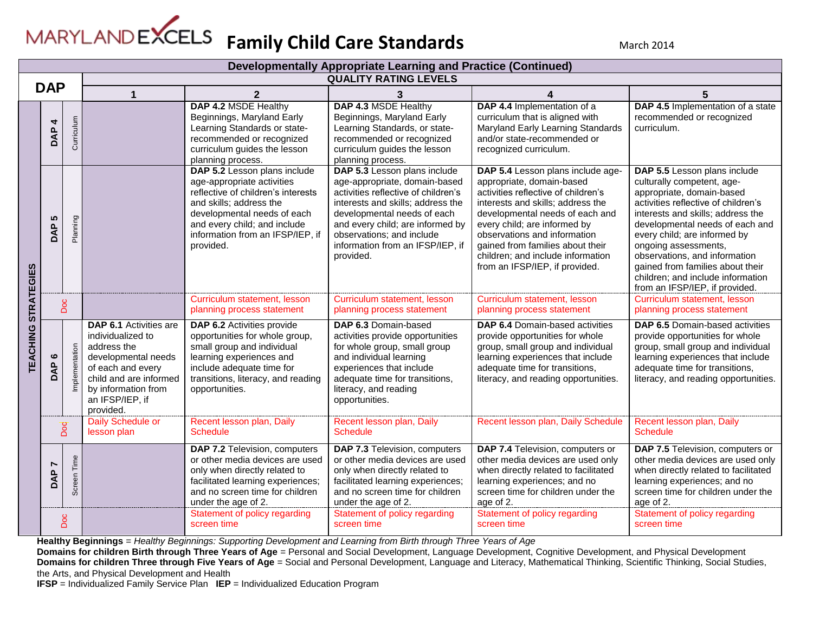

|                   | Developmentally Appropriate Learning and Practice (Continued) |                   |                                                                                                                                                                                                |                                                                                                                                                                                                                                             |                                                                                                                                                                                                                                                                                            |                                                                                                                                                                                                                                                                                                                                                          |                                                                                                                                                                                                                                                                                                                                                                                                            |  |  |
|-------------------|---------------------------------------------------------------|-------------------|------------------------------------------------------------------------------------------------------------------------------------------------------------------------------------------------|---------------------------------------------------------------------------------------------------------------------------------------------------------------------------------------------------------------------------------------------|--------------------------------------------------------------------------------------------------------------------------------------------------------------------------------------------------------------------------------------------------------------------------------------------|----------------------------------------------------------------------------------------------------------------------------------------------------------------------------------------------------------------------------------------------------------------------------------------------------------------------------------------------------------|------------------------------------------------------------------------------------------------------------------------------------------------------------------------------------------------------------------------------------------------------------------------------------------------------------------------------------------------------------------------------------------------------------|--|--|
|                   |                                                               |                   |                                                                                                                                                                                                |                                                                                                                                                                                                                                             | <b>QUALITY RATING LEVELS</b>                                                                                                                                                                                                                                                               |                                                                                                                                                                                                                                                                                                                                                          |                                                                                                                                                                                                                                                                                                                                                                                                            |  |  |
| <b>DAP</b>        |                                                               |                   | 1                                                                                                                                                                                              | $\mathbf{2}$                                                                                                                                                                                                                                | 3                                                                                                                                                                                                                                                                                          |                                                                                                                                                                                                                                                                                                                                                          | 5                                                                                                                                                                                                                                                                                                                                                                                                          |  |  |
|                   | 4<br><b>DAP</b>                                               | Curriculum        |                                                                                                                                                                                                | DAP 4.2 MSDE Healthy<br>Beginnings, Maryland Early<br>Learning Standards or state-<br>recommended or recognized<br>curriculum guides the lesson<br>planning process.                                                                        | DAP 4.3 MSDE Healthy<br>Beginnings, Maryland Early<br>Learning Standards, or state-<br>recommended or recognized<br>curriculum guides the lesson<br>planning process.                                                                                                                      | DAP 4.4 Implementation of a<br>curriculum that is aligned with<br>Maryland Early Learning Standards<br>and/or state-recommended or<br>recognized curriculum.                                                                                                                                                                                             | DAP 4.5 Implementation of a state<br>recommended or recognized<br>curriculum.                                                                                                                                                                                                                                                                                                                              |  |  |
| <b>STRATEGIES</b> | <b>LC</b><br>DAP                                              | Planning          |                                                                                                                                                                                                | DAP 5.2 Lesson plans include<br>age-appropriate activities<br>reflective of children's interests<br>and skills; address the<br>developmental needs of each<br>and every child; and include<br>information from an IFSP/IEP, if<br>provided. | DAP 5.3 Lesson plans include<br>age-appropriate, domain-based<br>activities reflective of children's<br>interests and skills; address the<br>developmental needs of each<br>and every child; are informed by<br>observations; and include<br>information from an IFSP/IEP, if<br>provided. | DAP 5.4 Lesson plans include age-<br>appropriate, domain-based<br>activities reflective of children's<br>interests and skills; address the<br>developmental needs of each and<br>every child; are informed by<br>observations and information<br>gained from families about their<br>children; and include information<br>from an IFSP/IEP, if provided. | DAP 5.5 Lesson plans include<br>culturally competent, age-<br>appropriate, domain-based<br>activities reflective of children's<br>interests and skills; address the<br>developmental needs of each and<br>every child; are informed by<br>ongoing assessments,<br>observations, and information<br>gained from families about their<br>children; and include information<br>from an IFSP/IEP, if provided. |  |  |
|                   |                                                               | Doc               |                                                                                                                                                                                                | Curriculum statement, lesson<br>planning process statement                                                                                                                                                                                  | Curriculum statement, lesson<br>planning process statement                                                                                                                                                                                                                                 | Curriculum statement, lesson<br>planning process statement                                                                                                                                                                                                                                                                                               | Curriculum statement, lesson<br>planning process statement                                                                                                                                                                                                                                                                                                                                                 |  |  |
| TEACHING          | ဖ<br>DAP                                                      | plementation<br>Ξ | <b>DAP 6.1 Activities are</b><br>individualized to<br>address the<br>developmental needs<br>of each and every<br>child and are informed<br>by information from<br>an IFSP/IEP, if<br>provided. | DAP 6.2 Activities provide<br>opportunities for whole group,<br>small group and individual<br>learning experiences and<br>include adequate time for<br>transitions, literacy, and reading<br>opportunities.                                 | DAP 6.3 Domain-based<br>activities provide opportunities<br>for whole group, small group<br>and individual learning<br>experiences that include<br>adequate time for transitions,<br>literacy, and reading<br>opportunities.                                                               | <b>DAP 6.4 Domain-based activities</b><br>provide opportunities for whole<br>group, small group and individual<br>learning experiences that include<br>adequate time for transitions,<br>literacy, and reading opportunities.                                                                                                                            | <b>DAP 6.5 Domain-based activities</b><br>provide opportunities for whole<br>group, small group and individual<br>learning experiences that include<br>adequate time for transitions,<br>literacy, and reading opportunities.                                                                                                                                                                              |  |  |
|                   |                                                               | Doc               | Daily Schedule or<br>lesson plan                                                                                                                                                               | Recent lesson plan, Daily<br><b>Schedule</b>                                                                                                                                                                                                | Recent lesson plan, Daily<br><b>Schedule</b>                                                                                                                                                                                                                                               | Recent lesson plan, Daily Schedule                                                                                                                                                                                                                                                                                                                       | Recent lesson plan, Daily<br><b>Schedule</b>                                                                                                                                                                                                                                                                                                                                                               |  |  |
|                   | ൨<br>Ā                                                        | Screen Time       |                                                                                                                                                                                                | DAP 7.2 Television, computers<br>or other media devices are used<br>only when directly related to<br>facilitated learning experiences;<br>and no screen time for children<br>under the age of 2.                                            | DAP 7.3 Television, computers<br>or other media devices are used<br>only when directly related to<br>facilitated learning experiences;<br>and no screen time for children<br>under the age of 2.                                                                                           | DAP 7.4 Television, computers or<br>other media devices are used only<br>when directly related to facilitated<br>learning experiences; and no<br>screen time for children under the<br>age of 2.                                                                                                                                                         | DAP 7.5 Television, computers or<br>other media devices are used only<br>when directly related to facilitated<br>learning experiences; and no<br>screen time for children under the<br>age of 2.                                                                                                                                                                                                           |  |  |
|                   | Doc                                                           |                   |                                                                                                                                                                                                | Statement of policy regarding<br>screen time                                                                                                                                                                                                | Statement of policy regarding<br>screen time                                                                                                                                                                                                                                               | Statement of policy regarding<br>screen time                                                                                                                                                                                                                                                                                                             | Statement of policy regarding<br>screen time                                                                                                                                                                                                                                                                                                                                                               |  |  |

**Healthy Beginnings** = *Healthy Beginnings: Supporting Development and Learning from Birth through Three Years of Age* 

**Domains for children Birth through Three Years of Age** = Personal and Social Development, Language Development, Cognitive Development, and Physical Development **Domains for children Three through Five Years of Age** = Social and Personal Development, Language and Literacy, Mathematical Thinking, Scientific Thinking, Social Studies, the Arts, and Physical Development and Health

**IFSP** = Individualized Family Service Plan **IEP** = Individualized Education Program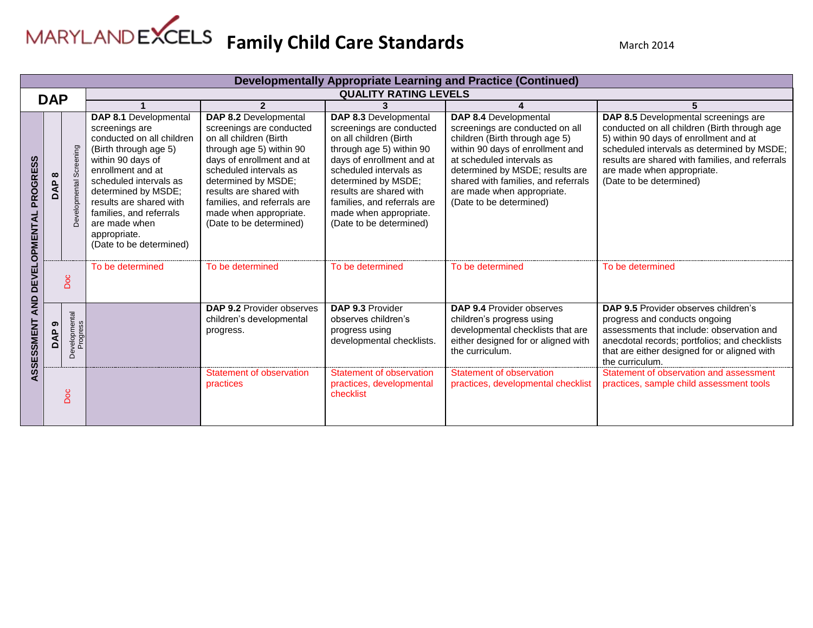

|                                         | <b>Developmentally Appropriate Learning and Practice (Continued)</b> |                           |                                                                                                                                                                                                                                                                                                            |                                                                                                                                                                                                                                                                                                      |                                                                                                                                                                                                                                                                                                      |                                                                                                                                                                                                                                                                                                |                                                                                                                                                                                                                                                                                          |  |
|-----------------------------------------|----------------------------------------------------------------------|---------------------------|------------------------------------------------------------------------------------------------------------------------------------------------------------------------------------------------------------------------------------------------------------------------------------------------------------|------------------------------------------------------------------------------------------------------------------------------------------------------------------------------------------------------------------------------------------------------------------------------------------------------|------------------------------------------------------------------------------------------------------------------------------------------------------------------------------------------------------------------------------------------------------------------------------------------------------|------------------------------------------------------------------------------------------------------------------------------------------------------------------------------------------------------------------------------------------------------------------------------------------------|------------------------------------------------------------------------------------------------------------------------------------------------------------------------------------------------------------------------------------------------------------------------------------------|--|
|                                         |                                                                      |                           |                                                                                                                                                                                                                                                                                                            |                                                                                                                                                                                                                                                                                                      | <b>QUALITY RATING LEVELS</b>                                                                                                                                                                                                                                                                         |                                                                                                                                                                                                                                                                                                |                                                                                                                                                                                                                                                                                          |  |
| <b>DAP</b>                              |                                                                      |                           |                                                                                                                                                                                                                                                                                                            | $\overline{2}$                                                                                                                                                                                                                                                                                       | 3                                                                                                                                                                                                                                                                                                    |                                                                                                                                                                                                                                                                                                |                                                                                                                                                                                                                                                                                          |  |
| <b>PROGRESS</b><br><b>DEVELOPMENTAL</b> | Screening<br>$\infty$<br><b>DAP</b><br>Dev                           |                           | DAP 8.1 Developmental<br>screenings are<br>conducted on all children<br>(Birth through age 5)<br>within 90 days of<br>enrollment and at<br>scheduled intervals as<br>determined by MSDE;<br>results are shared with<br>families, and referrals<br>are made when<br>appropriate.<br>(Date to be determined) | DAP 8.2 Developmental<br>screenings are conducted<br>on all children (Birth<br>through age 5) within 90<br>days of enrollment and at<br>scheduled intervals as<br>determined by MSDE;<br>results are shared with<br>families, and referrals are<br>made when appropriate.<br>(Date to be determined) | DAP 8.3 Developmental<br>screenings are conducted<br>on all children (Birth<br>through age 5) within 90<br>days of enrollment and at<br>scheduled intervals as<br>determined by MSDE;<br>results are shared with<br>families, and referrals are<br>made when appropriate.<br>(Date to be determined) | DAP 8.4 Developmental<br>screenings are conducted on all<br>children (Birth through age 5)<br>within 90 days of enrollment and<br>at scheduled intervals as<br>determined by MSDE; results are<br>shared with families, and referrals<br>are made when appropriate.<br>(Date to be determined) | DAP 8.5 Developmental screenings are<br>conducted on all children (Birth through age<br>5) within 90 days of enrollment and at<br>scheduled intervals as determined by MSDE;<br>results are shared with families, and referrals<br>are made when appropriate.<br>(Date to be determined) |  |
|                                         | Doc                                                                  |                           | To be determined                                                                                                                                                                                                                                                                                           | To be determined                                                                                                                                                                                                                                                                                     | To be determined                                                                                                                                                                                                                                                                                     | To be determined                                                                                                                                                                                                                                                                               | To be determined                                                                                                                                                                                                                                                                         |  |
| <b>AND</b><br>ASSESSMENT                | ၜ<br><b>DAP</b>                                                      | Developmental<br>Progress |                                                                                                                                                                                                                                                                                                            | <b>DAP 9.2 Provider observes</b><br>children's developmental<br>progress.                                                                                                                                                                                                                            | DAP 9.3 Provider<br>observes children's<br>progress using<br>developmental checklists.                                                                                                                                                                                                               | <b>DAP 9.4 Provider observes</b><br>children's progress using<br>developmental checklists that are<br>either designed for or aligned with<br>the curriculum.                                                                                                                                   | <b>DAP 9.5 Provider observes children's</b><br>progress and conducts ongoing<br>assessments that include: observation and<br>anecdotal records; portfolios; and checklists<br>that are either designed for or aligned with<br>the curriculum.                                            |  |
|                                         |                                                                      | Doc                       |                                                                                                                                                                                                                                                                                                            | Statement of observation<br>practices                                                                                                                                                                                                                                                                | Statement of observation<br>practices, developmental<br>checklist                                                                                                                                                                                                                                    | Statement of observation<br>practices, developmental checklist                                                                                                                                                                                                                                 | Statement of observation and assessment<br>practices, sample child assessment tools                                                                                                                                                                                                      |  |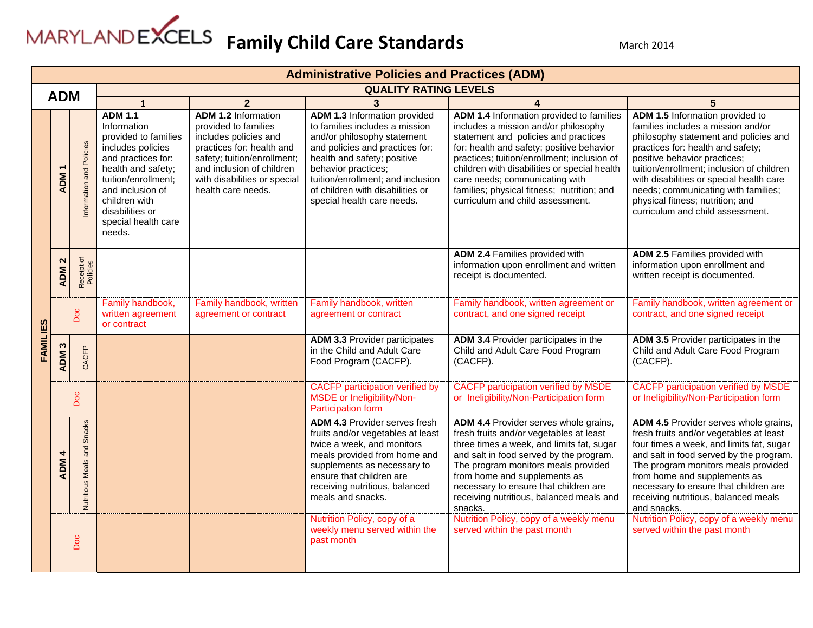

|          |                                 | <b>Administrative Policies and Practices (ADM)</b> |                                                                                                                                                                                                                                        |                                                                                                                                                                                                                            |                                                                                                                                                                                                                                                                                                      |                                                                                                                                                                                                                                                                                                                                                                                          |                                                                                                                                                                                                                                                                                                                                                                                             |  |  |  |
|----------|---------------------------------|----------------------------------------------------|----------------------------------------------------------------------------------------------------------------------------------------------------------------------------------------------------------------------------------------|----------------------------------------------------------------------------------------------------------------------------------------------------------------------------------------------------------------------------|------------------------------------------------------------------------------------------------------------------------------------------------------------------------------------------------------------------------------------------------------------------------------------------------------|------------------------------------------------------------------------------------------------------------------------------------------------------------------------------------------------------------------------------------------------------------------------------------------------------------------------------------------------------------------------------------------|---------------------------------------------------------------------------------------------------------------------------------------------------------------------------------------------------------------------------------------------------------------------------------------------------------------------------------------------------------------------------------------------|--|--|--|
|          | <b>ADM</b>                      |                                                    |                                                                                                                                                                                                                                        |                                                                                                                                                                                                                            | <b>QUALITY RATING LEVELS</b>                                                                                                                                                                                                                                                                         |                                                                                                                                                                                                                                                                                                                                                                                          |                                                                                                                                                                                                                                                                                                                                                                                             |  |  |  |
|          |                                 |                                                    | $\mathbf{1}$                                                                                                                                                                                                                           | $\overline{2}$                                                                                                                                                                                                             | $\mathbf{3}$                                                                                                                                                                                                                                                                                         | 4                                                                                                                                                                                                                                                                                                                                                                                        | 5                                                                                                                                                                                                                                                                                                                                                                                           |  |  |  |
|          | <b>ADM</b>                      | Information and Policies                           | <b>ADM 1.1</b><br>Information<br>provided to families<br>includes policies<br>and practices for:<br>health and safety;<br>tuition/enrollment;<br>and inclusion of<br>children with<br>disabilities or<br>special health care<br>needs. | <b>ADM 1.2 Information</b><br>provided to families<br>includes policies and<br>practices for: health and<br>safety; tuition/enrollment;<br>and inclusion of children<br>with disabilities or special<br>health care needs. | <b>ADM 1.3 Information provided</b><br>to families includes a mission<br>and/or philosophy statement<br>and policies and practices for:<br>health and safety; positive<br>behavior practices;<br>tuition/enrollment; and inclusion<br>of children with disabilities or<br>special health care needs. | ADM 1.4 Information provided to families<br>includes a mission and/or philosophy<br>statement and policies and practices<br>for: health and safety; positive behavior<br>practices; tuition/enrollment; inclusion of<br>children with disabilities or special health<br>care needs; communicating with<br>families; physical fitness; nutrition; and<br>curriculum and child assessment. | ADM 1.5 Information provided to<br>families includes a mission and/or<br>philosophy statement and policies and<br>practices for: health and safety;<br>positive behavior practices;<br>tuition/enrollment; inclusion of children<br>with disabilities or special health care<br>needs; communicating with families;<br>physical fitness; nutrition; and<br>curriculum and child assessment. |  |  |  |
|          | $\mathbf{\Omega}$<br><b>ADM</b> | Receipt of<br>Policies                             |                                                                                                                                                                                                                                        |                                                                                                                                                                                                                            |                                                                                                                                                                                                                                                                                                      | <b>ADM 2.4 Families provided with</b><br>information upon enrollment and written<br>receipt is documented.                                                                                                                                                                                                                                                                               | ADM 2.5 Families provided with<br>information upon enrollment and<br>written receipt is documented.                                                                                                                                                                                                                                                                                         |  |  |  |
|          | Doc                             |                                                    | Family handbook,<br>written agreement<br>or contract                                                                                                                                                                                   | Family handbook, written<br>agreement or contract                                                                                                                                                                          | Family handbook, written<br>agreement or contract                                                                                                                                                                                                                                                    | Family handbook, written agreement or<br>contract, and one signed receipt                                                                                                                                                                                                                                                                                                                | Family handbook, written agreement or<br>contract, and one signed receipt                                                                                                                                                                                                                                                                                                                   |  |  |  |
| FAMILIES | ADM <sub>3</sub>                | CACFP                                              |                                                                                                                                                                                                                                        |                                                                                                                                                                                                                            | <b>ADM 3.3 Provider participates</b><br>in the Child and Adult Care<br>Food Program (CACFP).                                                                                                                                                                                                         | ADM 3.4 Provider participates in the<br>Child and Adult Care Food Program<br>(CACFP).                                                                                                                                                                                                                                                                                                    | ADM 3.5 Provider participates in the<br>Child and Adult Care Food Program<br>(CACFP).                                                                                                                                                                                                                                                                                                       |  |  |  |
|          |                                 | Doc                                                |                                                                                                                                                                                                                                        |                                                                                                                                                                                                                            | <b>CACFP</b> participation verified by<br>MSDE or Ineligibility/Non-<br>Participation form                                                                                                                                                                                                           | <b>CACFP</b> participation verified by MSDE<br>or Ineligibility/Non-Participation form                                                                                                                                                                                                                                                                                                   | <b>CACFP</b> participation verified by MSDE<br>or Ineligibility/Non-Participation form                                                                                                                                                                                                                                                                                                      |  |  |  |
|          | <b>ADM</b>                      | <b>Nutritious Meals and Snacks</b>                 |                                                                                                                                                                                                                                        |                                                                                                                                                                                                                            | <b>ADM 4.3 Provider serves fresh</b><br>fruits and/or vegetables at least<br>twice a week, and monitors<br>meals provided from home and<br>supplements as necessary to<br>ensure that children are<br>receiving nutritious, balanced<br>meals and snacks.                                            | ADM 4.4 Provider serves whole grains,<br>fresh fruits and/or vegetables at least<br>three times a week, and limits fat, sugar<br>and salt in food served by the program.<br>The program monitors meals provided<br>from home and supplements as<br>necessary to ensure that children are<br>receiving nutritious, balanced meals and<br>snacks.                                          | ADM 4.5 Provider serves whole grains,<br>fresh fruits and/or vegetables at least<br>four times a week, and limits fat, sugar<br>and salt in food served by the program.<br>The program monitors meals provided<br>from home and supplements as<br>necessary to ensure that children are<br>receiving nutritious, balanced meals<br>and snacks.                                              |  |  |  |
|          |                                 | Doc                                                |                                                                                                                                                                                                                                        |                                                                                                                                                                                                                            | Nutrition Policy, copy of a<br>weekly menu served within the<br>past month                                                                                                                                                                                                                           | Nutrition Policy, copy of a weekly menu<br>served within the past month                                                                                                                                                                                                                                                                                                                  | Nutrition Policy, copy of a weekly menu<br>served within the past month                                                                                                                                                                                                                                                                                                                     |  |  |  |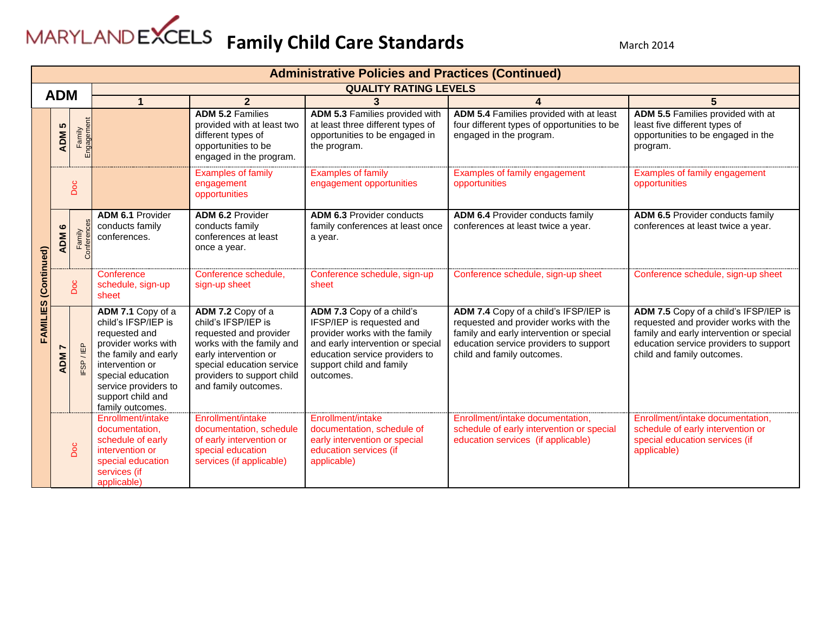|             | <b>Administrative Policies and Practices (Continued)</b> |                      |                                                                                                                                                                                                                   |                                                                                                                                                                                                             |                                                                                                                                                                                                          |                                                                                                                                                                                                    |                                                                                                                                                                                                    |  |  |  |
|-------------|----------------------------------------------------------|----------------------|-------------------------------------------------------------------------------------------------------------------------------------------------------------------------------------------------------------------|-------------------------------------------------------------------------------------------------------------------------------------------------------------------------------------------------------------|----------------------------------------------------------------------------------------------------------------------------------------------------------------------------------------------------------|----------------------------------------------------------------------------------------------------------------------------------------------------------------------------------------------------|----------------------------------------------------------------------------------------------------------------------------------------------------------------------------------------------------|--|--|--|
|             |                                                          |                      |                                                                                                                                                                                                                   |                                                                                                                                                                                                             | <b>QUALITY RATING LEVELS</b>                                                                                                                                                                             |                                                                                                                                                                                                    |                                                                                                                                                                                                    |  |  |  |
| <b>ADM</b>  |                                                          |                      |                                                                                                                                                                                                                   | $\overline{2}$                                                                                                                                                                                              | 3                                                                                                                                                                                                        |                                                                                                                                                                                                    | 5                                                                                                                                                                                                  |  |  |  |
|             | ADM <sub>5</sub>                                         | Family<br>Engagement |                                                                                                                                                                                                                   | <b>ADM 5.2 Families</b><br>provided with at least two<br>different types of<br>opportunities to be<br>engaged in the program.                                                                               | ADM 5.3 Families provided with<br>at least three different types of<br>opportunities to be engaged in<br>the program.                                                                                    | ADM 5.4 Families provided with at least<br>four different types of opportunities to be<br>engaged in the program.                                                                                  | ADM 5.5 Families provided with at<br>least five different types of<br>opportunities to be engaged in the<br>program.                                                                               |  |  |  |
|             |                                                          | Doc                  |                                                                                                                                                                                                                   | <b>Examples of family</b><br>engagement<br>opportunities                                                                                                                                                    | <b>Examples of family</b><br>engagement opportunities                                                                                                                                                    | Examples of family engagement<br>opportunities                                                                                                                                                     | Examples of family engagement<br>opportunities                                                                                                                                                     |  |  |  |
|             | ဖ<br><b>ADM</b>                                          | Conference<br>Family | ADM 6.1 Provider<br>conducts family<br>conferences.                                                                                                                                                               | ADM 6.2 Provider<br>conducts family<br>conferences at least<br>once a year.                                                                                                                                 | <b>ADM 6.3 Provider conducts</b><br>family conferences at least once<br>a year.                                                                                                                          | ADM 6.4 Provider conducts family<br>conferences at least twice a year.                                                                                                                             | <b>ADM 6.5 Provider conducts family</b><br>conferences at least twice a year.                                                                                                                      |  |  |  |
| (Continued) |                                                          | Doc                  | Conference<br>schedule, sign-up<br>sheet                                                                                                                                                                          | Conference schedule,<br>sign-up sheet                                                                                                                                                                       | Conference schedule, sign-up<br>sheet                                                                                                                                                                    | Conference schedule, sign-up sheet                                                                                                                                                                 | Conference schedule, sign-up sheet                                                                                                                                                                 |  |  |  |
| FAMILIES    | ADM                                                      | / IEP<br>FSP         | ADM 7.1 Copy of a<br>child's IFSP/IEP is<br>requested and<br>provider works with<br>the family and early<br>intervention or<br>special education<br>service providers to<br>support child and<br>family outcomes. | ADM 7.2 Copy of a<br>child's IFSP/IEP is<br>requested and provider<br>works with the family and<br>early intervention or<br>special education service<br>providers to support child<br>and family outcomes. | ADM 7.3 Copy of a child's<br>IFSP/IEP is requested and<br>provider works with the family<br>and early intervention or special<br>education service providers to<br>support child and family<br>outcomes. | ADM 7.4 Copy of a child's IFSP/IEP is<br>requested and provider works with the<br>family and early intervention or special<br>education service providers to support<br>child and family outcomes. | ADM 7.5 Copy of a child's IFSP/IEP is<br>requested and provider works with the<br>family and early intervention or special<br>education service providers to support<br>child and family outcomes. |  |  |  |
|             |                                                          | <b>Doc</b>           | Enrollment/intake<br>documentation,<br>schedule of early<br>intervention or<br>special education<br>services (if<br>applicable)                                                                                   | Enrollment/intake<br>documentation, schedule<br>of early intervention or<br>special education<br>services (if applicable)                                                                                   | Enrollment/intake<br>documentation, schedule of<br>early intervention or special<br>education services (if<br>applicable)                                                                                | Enrollment/intake documentation,<br>schedule of early intervention or special<br>education services (if applicable)                                                                                | Enrollment/intake documentation,<br>schedule of early intervention or<br>special education services (if<br>applicable)                                                                             |  |  |  |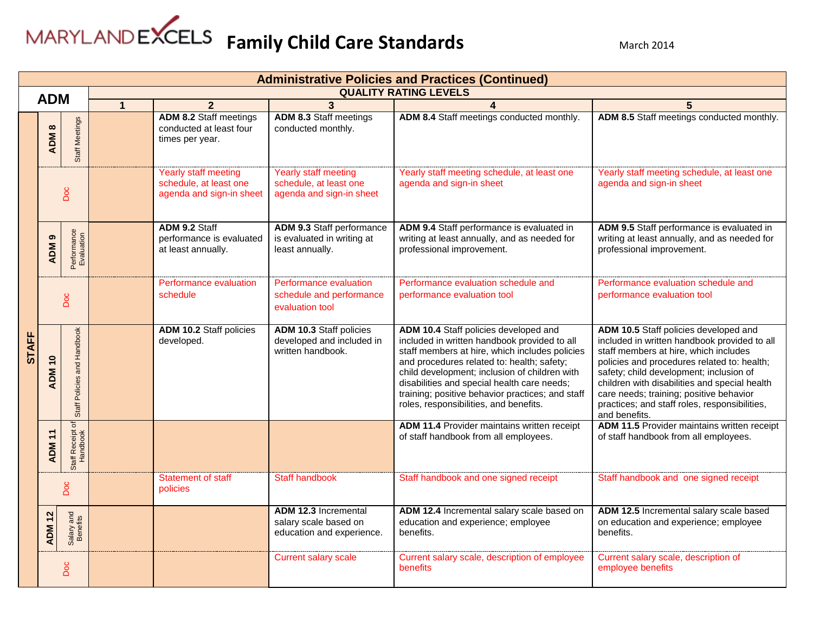| <b>Administrative Policies and Practices (Continued)</b> |                             |                              |                                    |                                                                             |                                                                                                                                             |                                                                                                                                                                                                                                                                                                                                                                                     |                                                                                                                                                                                                                                                                                                                                                                                        |  |  |
|----------------------------------------------------------|-----------------------------|------------------------------|------------------------------------|-----------------------------------------------------------------------------|---------------------------------------------------------------------------------------------------------------------------------------------|-------------------------------------------------------------------------------------------------------------------------------------------------------------------------------------------------------------------------------------------------------------------------------------------------------------------------------------------------------------------------------------|----------------------------------------------------------------------------------------------------------------------------------------------------------------------------------------------------------------------------------------------------------------------------------------------------------------------------------------------------------------------------------------|--|--|
| <b>ADM</b>                                               |                             |                              |                                    |                                                                             |                                                                                                                                             | <b>QUALITY RATING LEVELS</b>                                                                                                                                                                                                                                                                                                                                                        |                                                                                                                                                                                                                                                                                                                                                                                        |  |  |
|                                                          |                             |                              | $\overline{1}$                     | $\overline{2}$                                                              | $\overline{3}$                                                                                                                              | $\overline{\mathbf{4}}$                                                                                                                                                                                                                                                                                                                                                             | $5\phantom{.}$                                                                                                                                                                                                                                                                                                                                                                         |  |  |
|                                                          | $\infty$<br>ADM             | <b>Staff Meetings</b>        |                                    | <b>ADM 8.2 Staff meetings</b><br>conducted at least four<br>times per year. | <b>ADM 8.3 Staff meetings</b><br>conducted monthly.                                                                                         | ADM 8.4 Staff meetings conducted monthly.                                                                                                                                                                                                                                                                                                                                           | ADM 8.5 Staff meetings conducted monthly.                                                                                                                                                                                                                                                                                                                                              |  |  |
|                                                          |                             | Doc                          |                                    | Yearly staff meeting<br>schedule, at least one<br>agenda and sign-in sheet  | Yearly staff meeting<br>schedule, at least one<br>agenda and sign-in sheet                                                                  | Yearly staff meeting schedule, at least one<br>agenda and sign-in sheet                                                                                                                                                                                                                                                                                                             | Yearly staff meeting schedule, at least one<br>agenda and sign-in sheet                                                                                                                                                                                                                                                                                                                |  |  |
|                                                          | ၈<br><b>ADM</b>             | Performance<br>Evaluation    |                                    | ADM 9.2 Staff<br>performance is evaluated<br>at least annually.             | <b>ADM 9.3 Staff performance</b><br>is evaluated in writing at<br>least annually.                                                           | ADM 9.4 Staff performance is evaluated in<br>writing at least annually, and as needed for<br>professional improvement.                                                                                                                                                                                                                                                              | ADM 9.5 Staff performance is evaluated in<br>writing at least annually, and as needed for<br>professional improvement.                                                                                                                                                                                                                                                                 |  |  |
|                                                          | Doc                         |                              | Performance evaluation<br>schedule |                                                                             | Performance evaluation<br>Performance evaluation schedule and<br>schedule and performance<br>performance evaluation tool<br>evaluation tool |                                                                                                                                                                                                                                                                                                                                                                                     | Performance evaluation schedule and<br>performance evaluation tool                                                                                                                                                                                                                                                                                                                     |  |  |
| <b>STAFF</b>                                             | <b>ADM 10</b>               | Staff Policies and Handbook  |                                    | <b>ADM 10.2 Staff policies</b><br>developed.                                | ADM 10.3 Staff policies<br>developed and included in<br>written handbook.                                                                   | ADM 10.4 Staff policies developed and<br>included in written handbook provided to all<br>staff members at hire, which includes policies<br>and procedures related to: health; safety;<br>child development; inclusion of children with<br>disabilities and special health care needs;<br>training; positive behavior practices; and staff<br>roles, responsibilities, and benefits. | ADM 10.5 Staff policies developed and<br>included in written handbook provided to all<br>staff members at hire, which includes<br>policies and procedures related to: health;<br>safety; child development; inclusion of<br>children with disabilities and special health<br>care needs; training; positive behavior<br>practices; and staff roles, responsibilities,<br>and benefits. |  |  |
|                                                          | $\ddot{+}$<br><b>ADM</b>    | Staff Receipt of<br>Handbook |                                    |                                                                             |                                                                                                                                             | <b>ADM 11.4 Provider maintains written receipt</b><br>of staff handbook from all employees.                                                                                                                                                                                                                                                                                         | ADM 11.5 Provider maintains written receipt<br>of staff handbook from all employees.                                                                                                                                                                                                                                                                                                   |  |  |
|                                                          |                             | Doc                          |                                    | <b>Statement of staff</b><br>policies                                       | <b>Staff handbook</b>                                                                                                                       | Staff handbook and one signed receipt                                                                                                                                                                                                                                                                                                                                               | Staff handbook and one signed receipt                                                                                                                                                                                                                                                                                                                                                  |  |  |
|                                                          | $\frac{1}{2}$<br><b>ADM</b> | Salary and<br>Benefits       |                                    |                                                                             | <b>ADM 12.3 Incremental</b><br>salary scale based on<br>education and experience.                                                           | ADM 12.4 Incremental salary scale based on<br>education and experience; employee<br>benefits.                                                                                                                                                                                                                                                                                       | ADM 12.5 Incremental salary scale based<br>on education and experience; employee<br>benefits.                                                                                                                                                                                                                                                                                          |  |  |
|                                                          |                             | Doc                          |                                    |                                                                             | <b>Current salary scale</b>                                                                                                                 | Current salary scale, description of employee<br>benefits                                                                                                                                                                                                                                                                                                                           | Current salary scale, description of<br>employee benefits                                                                                                                                                                                                                                                                                                                              |  |  |